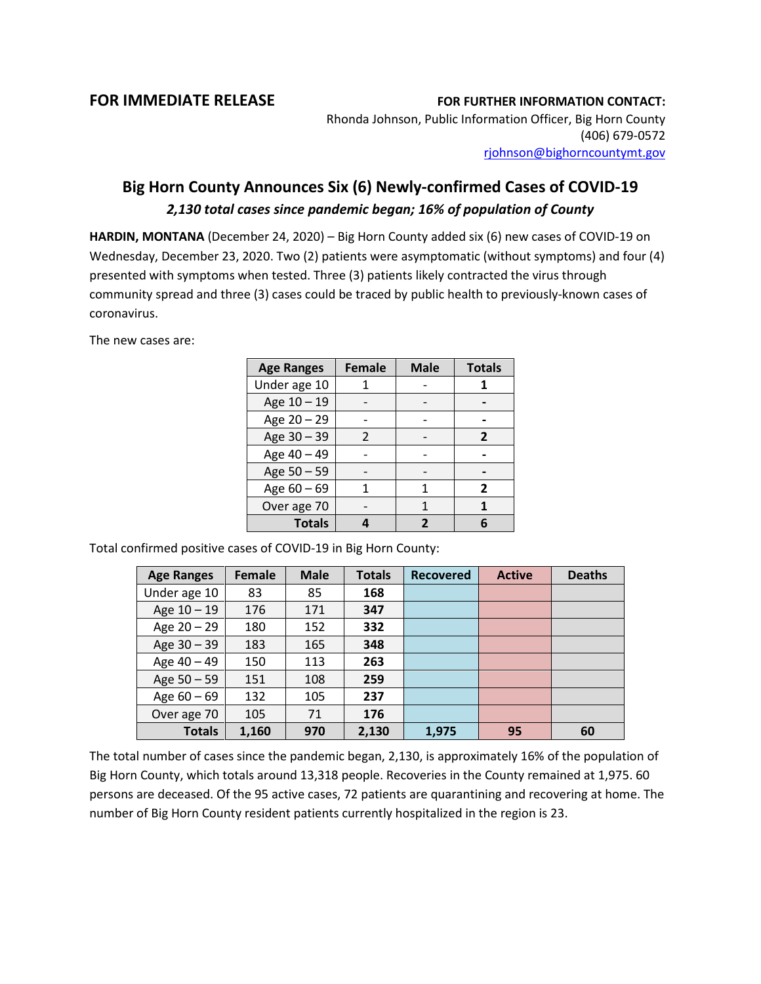## **FOR IMMEDIATE RELEASE FOR FURTHER INFORMATION CONTACT:**

Rhonda Johnson, Public Information Officer, Big Horn County (406) 679-0572 [rjohnson@bighorncountymt.gov](mailto:rjohnson@bighorncountymt.gov)

## **Big Horn County Announces Six (6) Newly-confirmed Cases of COVID-19** *2,130 total cases since pandemic began; 16% of population of County*

**HARDIN, MONTANA** (December 24, 2020) – Big Horn County added six (6) new cases of COVID-19 on Wednesday, December 23, 2020. Two (2) patients were asymptomatic (without symptoms) and four (4) presented with symptoms when tested. Three (3) patients likely contracted the virus through community spread and three (3) cases could be traced by public health to previously-known cases of coronavirus.

The new cases are:

| <b>Age Ranges</b> | <b>Female</b> | <b>Male</b> | <b>Totals</b> |
|-------------------|---------------|-------------|---------------|
| Under age 10      |               |             |               |
| Age 10 - 19       |               |             |               |
| Age 20 - 29       |               |             |               |
| Age 30 - 39       | $\mathcal{P}$ |             | 2             |
| Age 40 - 49       |               |             |               |
| Age 50 - 59       |               |             |               |
| Age $60 - 69$     |               |             | 2             |
| Over age 70       |               |             |               |
| <b>Totals</b>     |               | 2           | 6             |

Total confirmed positive cases of COVID-19 in Big Horn County:

| <b>Age Ranges</b> | <b>Female</b> | <b>Male</b> | <b>Totals</b> | <b>Recovered</b> | <b>Active</b> | <b>Deaths</b> |
|-------------------|---------------|-------------|---------------|------------------|---------------|---------------|
| Under age 10      | 83            | 85          | 168           |                  |               |               |
| Age 10 - 19       | 176           | 171         | 347           |                  |               |               |
| Age 20 - 29       | 180           | 152         | 332           |                  |               |               |
| Age 30 - 39       | 183           | 165         | 348           |                  |               |               |
| Age 40 - 49       | 150           | 113         | 263           |                  |               |               |
| Age 50 - 59       | 151           | 108         | 259           |                  |               |               |
| Age $60 - 69$     | 132           | 105         | 237           |                  |               |               |
| Over age 70       | 105           | 71          | 176           |                  |               |               |
| <b>Totals</b>     | 1,160         | 970         | 2,130         | 1,975            | 95            | 60            |

The total number of cases since the pandemic began, 2,130, is approximately 16% of the population of Big Horn County, which totals around 13,318 people. Recoveries in the County remained at 1,975. 60 persons are deceased. Of the 95 active cases, 72 patients are quarantining and recovering at home. The number of Big Horn County resident patients currently hospitalized in the region is 23.